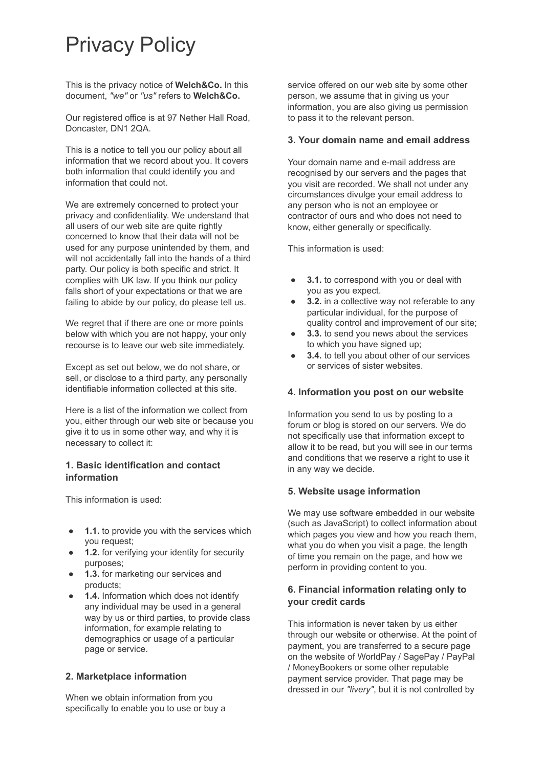# Privacy Policy

This is the privacy notice of **Welch&Co.** In this document, *"we"* or *"us"* refers to **Welch&Co.** 

Our registered office is at 97 Nether Hall Road, Doncaster, DN1 2QA.

This is a notice to tell you our policy about all information that we record about you. It covers both information that could identify you and information that could not.

We are extremely concerned to protect your privacy and confidentiality. We understand that all users of our web site are quite rightly concerned to know that their data will not be used for any purpose unintended by them, and will not accidentally fall into the hands of a third party. Our policy is both specific and strict. It complies with UK law. If you think our policy falls short of your expectations or that we are failing to abide by our policy, do please tell us.

We regret that if there are one or more points below with which you are not happy, your only recourse is to leave our web site immediately.

Except as set out below, we do not share, or sell, or disclose to a third party, any personally identifiable information collected at this site.

Here is a list of the information we collect from you, either through our web site or because you give it to us in some other way, and why it is necessary to collect it:

## **1. Basic identification and contact information**

This information is used:

- **1.1.** to provide you with the services which you request;
- **1.2.** for verifying your identity for security purposes;
- **1.3.** for marketing our services and products;
- **1.4.** Information which does not identify any individual may be used in a general way by us or third parties, to provide class information, for example relating to demographics or usage of a particular page or service.

# **2. Marketplace information**

When we obtain information from you specifically to enable you to use or buy a service offered on our web site by some other person, we assume that in giving us your information, you are also giving us permission to pass it to the relevant person.

#### **3. Your domain name and email address**

Your domain name and e-mail address are recognised by our servers and the pages that you visit are recorded. We shall not under any circumstances divulge your email address to any person who is not an employee or contractor of ours and who does not need to know, either generally or specifically.

This information is used:

- **3.1.** to correspond with you or deal with you as you expect.
- **3.2.** in a collective way not referable to any particular individual, for the purpose of quality control and improvement of our site;
- **3.3.** to send you news about the services to which you have signed up;
- **3.4.** to tell you about other of our services or services of sister websites.

# **4. Information you post on our website**

Information you send to us by posting to a forum or blog is stored on our servers. We do not specifically use that information except to allow it to be read, but you will see in our terms and conditions that we reserve a right to use it in any way we decide.

#### **5. Website usage information**

We may use software embedded in our website (such as JavaScript) to collect information about which pages you view and how you reach them, what you do when you visit a page, the length of time you remain on the page, and how we perform in providing content to you.

# **6. Financial information relating only to your credit cards**

This information is never taken by us either through our website or otherwise. At the point of payment, you are transferred to a secure page on the website of WorldPay / SagePay / PayPal / MoneyBookers or some other reputable payment service provider. That page may be dressed in our "livery", but it is not controlled by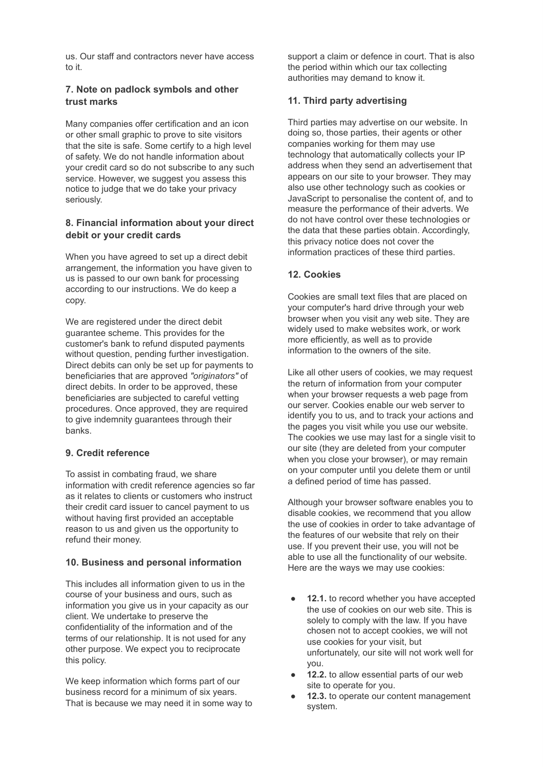us. Our staff and contractors never have access to it.

# **7. Note on padlock symbols and other trust marks**

Many companies offer certification and an icon or other small graphic to prove to site visitors that the site is safe. Some certify to a high level of safety. We do not handle information about your credit card so do not subscribe to any such service. However, we suggest you assess this notice to judge that we do take your privacy seriously.

## **8. Financial information about your direct debit or your credit cards**

When you have agreed to set up a direct debit arrangement, the information you have given to us is passed to our own bank for processing according to our instructions. We do keep a copy.

We are registered under the direct debit guarantee scheme. This provides for the customer's bank to refund disputed payments without question, pending further investigation. Direct debits can only be set up for payments to beneficiaries that are approved *"originators"* of direct debits. In order to be approved, these beneficiaries are subjected to careful vetting procedures. Once approved, they are required to give indemnity guarantees through their banks.

# **9. Credit reference**

To assist in combating fraud, we share information with credit reference agencies so far as it relates to clients or customers who instruct their credit card issuer to cancel payment to us without having first provided an acceptable reason to us and given us the opportunity to refund their money.

#### **10. Business and personal information**

This includes all information given to us in the course of your business and ours, such as information you give us in your capacity as our client. We undertake to preserve the confidentiality of the information and of the terms of our relationship. It is not used for any other purpose. We expect you to reciprocate this policy.

We keep information which forms part of our business record for a minimum of six years. That is because we may need it in some way to support a claim or defence in court. That is also the period within which our tax collecting authorities may demand to know it.

## **11. Third party advertising**

Third parties may advertise on our website. In doing so, those parties, their agents or other companies working for them may use technology that automatically collects your IP address when they send an advertisement that appears on our site to your browser. They may also use other technology such as cookies or JavaScript to personalise the content of, and to measure the performance of their adverts. We do not have control over these technologies or the data that these parties obtain. Accordingly, this privacy notice does not cover the information practices of these third parties.

## **12. Cookies**

Cookies are small text files that are placed on your computer's hard drive through your web browser when you visit any web site. They are widely used to make websites work, or work more efficiently, as well as to provide information to the owners of the site.

Like all other users of cookies, we may request the return of information from your computer when your browser requests a web page from our server. Cookies enable our web server to identify you to us, and to track your actions and the pages you visit while you use our website. The cookies we use may last for a single visit to our site (they are deleted from your computer when you close your browser), or may remain on your computer until you delete them or until a defined period of time has passed.

Although your browser software enables you to disable cookies, we recommend that you allow the use of cookies in order to take advantage of the features of our website that rely on their use. If you prevent their use, you will not be able to use all the functionality of our website. Here are the ways we may use cookies:

- **12.1.** to record whether you have accepted the use of cookies on our web site. This is solely to comply with the law. If you have chosen not to accept cookies, we will not use cookies for your visit, but unfortunately, our site will not work well for you.
- 12.2. to allow essential parts of our web site to operate for you.
- 12.3. to operate our content management system.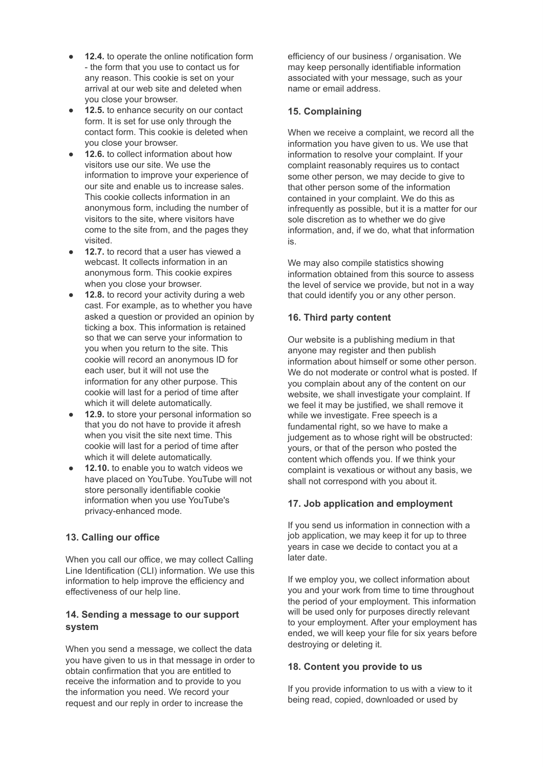- **12.4.** to operate the online notification form - the form that you use to contact us for any reason. This cookie is set on your arrival at our web site and deleted when you close your browser.
- **12.5.** to enhance security on our contact form. It is set for use only through the contact form. This cookie is deleted when you close your browser.
- **12.6.** to collect information about how visitors use our site. We use the information to improve your experience of our site and enable us to increase sales. This cookie collects information in an anonymous form, including the number of visitors to the site, where visitors have come to the site from, and the pages they visited.
- **12.7.** to record that a user has viewed a webcast. It collects information in an anonymous form. This cookie expires when you close your browser.
- **12.8.** to record your activity during a web cast. For example, as to whether you have asked a question or provided an opinion by ticking a box. This information is retained so that we can serve your information to you when you return to the site. This cookie will record an anonymous ID for each user, but it will not use the information for any other purpose. This cookie will last for a period of time after which it will delete automatically.
- **12.9.** to store your personal information so that you do not have to provide it afresh when you visit the site next time. This cookie will last for a period of time after which it will delete automatically.
- **12.10.** to enable you to watch videos we have placed on YouTube. YouTube will not store personally identifiable cookie information when you use YouTube's privacy-enhanced mode.

# **13. Calling our office**

When you call our office, we may collect Calling Line Identification (CLI) information. We use this information to help improve the efficiency and effectiveness of our help line.

## **14. Sending a message to our support system**

When you send a message, we collect the data you have given to us in that message in order to obtain confirmation that you are entitled to receive the information and to provide to you the information you need. We record your request and our reply in order to increase the

efficiency of our business / organisation. We may keep personally identifiable information associated with your message, such as your name or email address.

## **15. Complaining**

When we receive a complaint, we record all the information you have given to us. We use that information to resolve your complaint. If your complaint reasonably requires us to contact some other person, we may decide to give to that other person some of the information contained in your complaint. We do this as infrequently as possible, but it is a matter for our sole discretion as to whether we do give information, and, if we do, what that information is.

We may also compile statistics showing information obtained from this source to assess the level of service we provide, but not in a way that could identify you or any other person.

# **16. Third party content**

Our website is a publishing medium in that anyone may register and then publish information about himself or some other person. We do not moderate or control what is posted. If you complain about any of the content on our website, we shall investigate your complaint. If we feel it may be justified, we shall remove it while we investigate. Free speech is a fundamental right, so we have to make a judgement as to whose right will be obstructed: yours, or that of the person who posted the content which offends you. If we think your complaint is vexatious or without any basis, we shall not correspond with you about it.

# **17. Job application and employment**

If you send us information in connection with a job application, we may keep it for up to three years in case we decide to contact you at a later date.

If we employ you, we collect information about you and your work from time to time throughout the period of your employment. This information will be used only for purposes directly relevant to your employment. After your employment has ended, we will keep your file for six years before destroying or deleting it.

# **18. Content you provide to us**

If you provide information to us with a view to it being read, copied, downloaded or used by